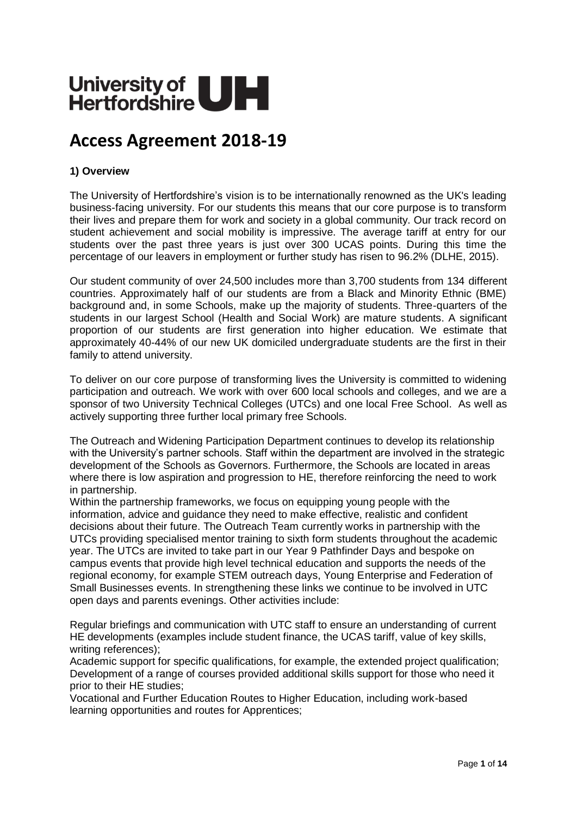# University of UH

# **Access Agreement 2018-19**

# **1) Overview**

The University of Hertfordshire's vision is to be internationally renowned as the UK's leading business-facing university. For our students this means that our core purpose is to transform their lives and prepare them for work and society in a global community. Our track record on student achievement and social mobility is impressive. The average tariff at entry for our students over the past three years is just over 300 UCAS points. During this time the percentage of our leavers in employment or further study has risen to 96.2% (DLHE, 2015).

Our student community of over 24,500 includes more than 3,700 students from 134 different countries. Approximately half of our students are from a Black and Minority Ethnic (BME) background and, in some Schools, make up the majority of students. Three-quarters of the students in our largest School (Health and Social Work) are mature students. A significant proportion of our students are first generation into higher education. We estimate that approximately 40-44% of our new UK domiciled undergraduate students are the first in their family to attend university.

To deliver on our core purpose of transforming lives the University is committed to widening participation and outreach. We work with over 600 local schools and colleges, and we are a sponsor of two University Technical Colleges (UTCs) and one local Free School. As well as actively supporting three further local primary free Schools.

The Outreach and Widening Participation Department continues to develop its relationship with the University's partner schools. Staff within the department are involved in the strategic development of the Schools as Governors. Furthermore, the Schools are located in areas where there is low aspiration and progression to HE, therefore reinforcing the need to work in partnership.

Within the partnership frameworks, we focus on equipping young people with the information, advice and guidance they need to make effective, realistic and confident decisions about their future. The Outreach Team currently works in partnership with the UTCs providing specialised mentor training to sixth form students throughout the academic year. The UTCs are invited to take part in our Year 9 Pathfinder Days and bespoke on campus events that provide high level technical education and supports the needs of the regional economy, for example STEM outreach days, Young Enterprise and Federation of Small Businesses events. In strengthening these links we continue to be involved in UTC open days and parents evenings. Other activities include:

Regular briefings and communication with UTC staff to ensure an understanding of current HE developments (examples include student finance, the UCAS tariff, value of key skills, writing references);

Academic support for specific qualifications, for example, the extended project qualification; Development of a range of courses provided additional skills support for those who need it prior to their HE studies;

Vocational and Further Education Routes to Higher Education, including work-based learning opportunities and routes for Apprentices;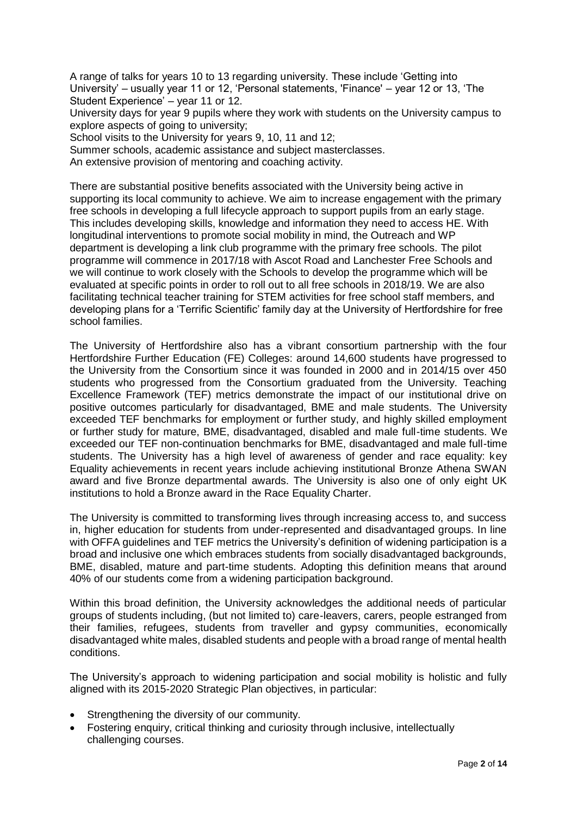A range of talks for years 10 to 13 regarding university. These include 'Getting into University' – usually year 11 or 12, 'Personal statements, 'Finance' – year 12 or 13, 'The Student Experience' – year 11 or 12.

University days for year 9 pupils where they work with students on the University campus to explore aspects of going to university:

School visits to the University for years 9, 10, 11 and 12;

Summer schools, academic assistance and subject masterclasses.

An extensive provision of mentoring and coaching activity.

There are substantial positive benefits associated with the University being active in supporting its local community to achieve. We aim to increase engagement with the primary free schools in developing a full lifecycle approach to support pupils from an early stage. This includes developing skills, knowledge and information they need to access HE. With longitudinal interventions to promote social mobility in mind, the Outreach and WP department is developing a link club programme with the primary free schools. The pilot programme will commence in 2017/18 with Ascot Road and Lanchester Free Schools and we will continue to work closely with the Schools to develop the programme which will be evaluated at specific points in order to roll out to all free schools in 2018/19. We are also facilitating technical teacher training for STEM activities for free school staff members, and developing plans for a 'Terrific Scientific' family day at the University of Hertfordshire for free school families.

The University of Hertfordshire also has a vibrant consortium partnership with the four Hertfordshire Further Education (FE) Colleges: around 14,600 students have progressed to the University from the Consortium since it was founded in 2000 and in 2014/15 over 450 students who progressed from the Consortium graduated from the University. Teaching Excellence Framework (TEF) metrics demonstrate the impact of our institutional drive on positive outcomes particularly for disadvantaged, BME and male students. The University exceeded TEF benchmarks for employment or further study, and highly skilled employment or further study for mature, BME, disadvantaged, disabled and male full-time students. We exceeded our TEF non-continuation benchmarks for BME, disadvantaged and male full-time students. The University has a high level of awareness of gender and race equality: key Equality achievements in recent years include achieving institutional Bronze Athena SWAN award and five Bronze departmental awards. The University is also one of only eight UK institutions to hold a Bronze award in the Race Equality Charter.

The University is committed to transforming lives through increasing access to, and success in, higher education for students from under-represented and disadvantaged groups. In line with OFFA guidelines and TEF metrics the University's definition of widening participation is a broad and inclusive one which embraces students from socially disadvantaged backgrounds, BME, disabled, mature and part-time students. Adopting this definition means that around 40% of our students come from a widening participation background.

Within this broad definition, the University acknowledges the additional needs of particular groups of students including, (but not limited to) care-leavers, carers, people estranged from their families, refugees, students from traveller and gypsy communities, economically disadvantaged white males, disabled students and people with a broad range of mental health conditions.

The University's approach to widening participation and social mobility is holistic and fully aligned with its 2015-2020 Strategic Plan objectives, in particular:

- Strengthening the diversity of our community.
- Fostering enquiry, critical thinking and curiosity through inclusive, intellectually challenging courses.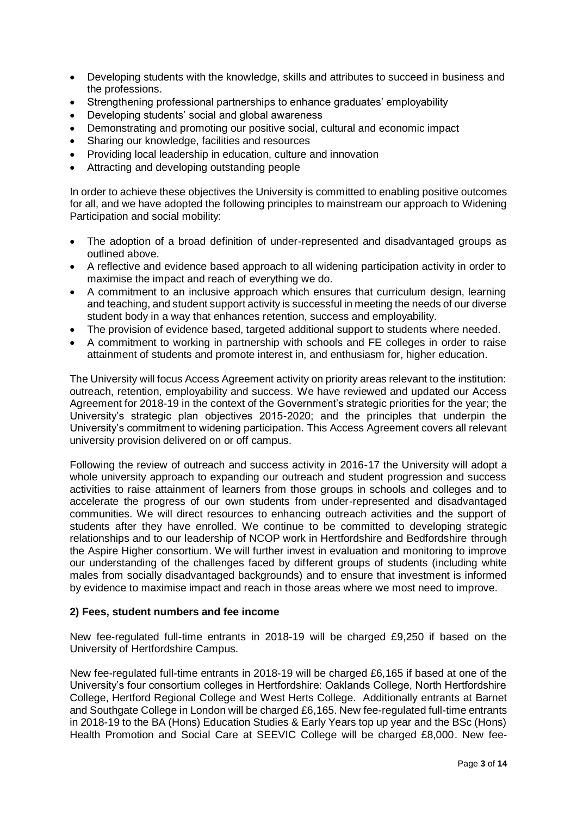- Developing students with the knowledge, skills and attributes to succeed in business and the professions.
- Strengthening professional partnerships to enhance graduates' employability
- Developing students' social and global awareness
- Demonstrating and promoting our positive social, cultural and economic impact
- Sharing our knowledge, facilities and resources
- Providing local leadership in education, culture and innovation
- Attracting and developing outstanding people

In order to achieve these objectives the University is committed to enabling positive outcomes for all, and we have adopted the following principles to mainstream our approach to Widening Participation and social mobility:

- The adoption of a broad definition of under-represented and disadvantaged groups as outlined above.
- A reflective and evidence based approach to all widening participation activity in order to maximise the impact and reach of everything we do.
- A commitment to an inclusive approach which ensures that curriculum design, learning and teaching, and student support activity is successful in meeting the needs of our diverse student body in a way that enhances retention, success and employability.
- The provision of evidence based, targeted additional support to students where needed.
- A commitment to working in partnership with schools and FE colleges in order to raise attainment of students and promote interest in, and enthusiasm for, higher education.

The University will focus Access Agreement activity on priority areas relevant to the institution: outreach, retention, employability and success. We have reviewed and updated our Access Agreement for 2018-19 in the context of the Government's strategic priorities for the year; the University's strategic plan objectives 2015-2020; and the principles that underpin the University's commitment to widening participation. This Access Agreement covers all relevant university provision delivered on or off campus.

Following the review of outreach and success activity in 2016-17 the University will adopt a whole university approach to expanding our outreach and student progression and success activities to raise attainment of learners from those groups in schools and colleges and to accelerate the progress of our own students from under-represented and disadvantaged communities. We will direct resources to enhancing outreach activities and the support of students after they have enrolled. We continue to be committed to developing strategic relationships and to our leadership of NCOP work in Hertfordshire and Bedfordshire through the Aspire Higher consortium. We will further invest in evaluation and monitoring to improve our understanding of the challenges faced by different groups of students (including white males from socially disadvantaged backgrounds) and to ensure that investment is informed by evidence to maximise impact and reach in those areas where we most need to improve.

#### **2) Fees, student numbers and fee income**

New fee-regulated full-time entrants in 2018-19 will be charged £9,250 if based on the University of Hertfordshire Campus.

New fee-regulated full-time entrants in 2018-19 will be charged £6,165 if based at one of the University's four consortium colleges in Hertfordshire: Oaklands College, North Hertfordshire College, Hertford Regional College and West Herts College. Additionally entrants at Barnet and Southgate College in London will be charged £6,165. New fee-regulated full-time entrants in 2018-19 to the BA (Hons) Education Studies & Early Years top up year and the BSc (Hons) Health Promotion and Social Care at SEEVIC College will be charged £8,000. New fee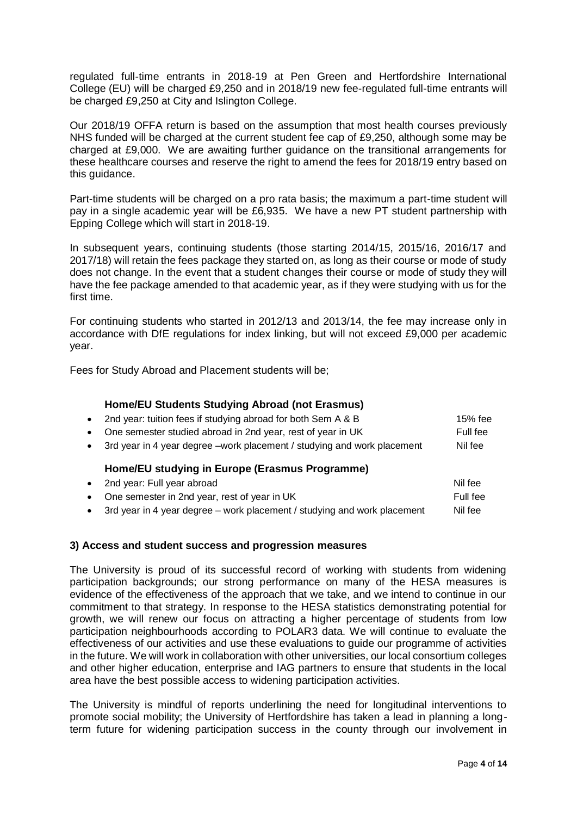regulated full-time entrants in 2018-19 at Pen Green and Hertfordshire International College (EU) will be charged £9,250 and in 2018/19 new fee-regulated full-time entrants will be charged £9,250 at City and Islington College.

Our 2018/19 OFFA return is based on the assumption that most health courses previously NHS funded will be charged at the current student fee cap of £9,250, although some may be charged at £9,000. We are awaiting further guidance on the transitional arrangements for these healthcare courses and reserve the right to amend the fees for 2018/19 entry based on this guidance.

Part-time students will be charged on a pro rata basis; the maximum a part-time student will pay in a single academic year will be £6,935. We have a new PT student partnership with Epping College which will start in 2018-19.

In subsequent years, continuing students (those starting 2014/15, 2015/16, 2016/17 and 2017/18) will retain the fees package they started on, as long as their course or mode of study does not change. In the event that a student changes their course or mode of study they will have the fee package amended to that academic year, as if they were studying with us for the first time.

For continuing students who started in 2012/13 and 2013/14, the fee may increase only in accordance with DfE regulations for index linking, but will not exceed £9,000 per academic year.

Fees for Study Abroad and Placement students will be;

#### **Home/EU Students Studying Abroad (not Erasmus)**

• 2nd year: tuition fees if studying abroad for both Sem A & B 15% fee • One semester studied abroad in 2nd year, rest of year in UK Full fee

• 3rd year in 4 year degree –work placement / studying and work placement Nil fee

# **Home/EU studying in Europe (Erasmus Programme)**

| • 2nd year: Full year abroad                                                 | Nil fee  |
|------------------------------------------------------------------------------|----------|
| • One semester in 2nd year, rest of year in UK                               | Full fee |
| • 3rd year in 4 year degree $-$ work placement / studying and work placement | Nil fee  |

# **3) Access and student success and progression measures**

The University is proud of its successful record of working with students from widening participation backgrounds; our strong performance on many of the HESA measures is evidence of the effectiveness of the approach that we take, and we intend to continue in our commitment to that strategy. In response to the HESA statistics demonstrating potential for growth, we will renew our focus on attracting a higher percentage of students from low participation neighbourhoods according to POLAR3 data. We will continue to evaluate the effectiveness of our activities and use these evaluations to guide our programme of activities in the future. We will work in collaboration with other universities, our local consortium colleges and other higher education, enterprise and IAG partners to ensure that students in the local area have the best possible access to widening participation activities.

The University is mindful of reports underlining the need for longitudinal interventions to promote social mobility; the University of Hertfordshire has taken a lead in planning a longterm future for widening participation success in the county through our involvement in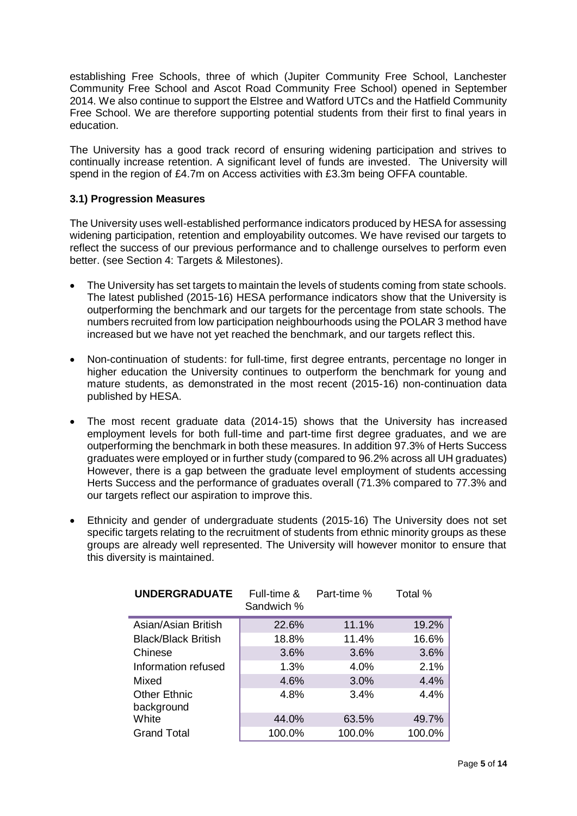establishing Free Schools, three of which (Jupiter Community Free School, Lanchester Community Free School and Ascot Road Community Free School) opened in September 2014. We also continue to support the Elstree and Watford UTCs and the Hatfield Community Free School. We are therefore supporting potential students from their first to final years in education.

The University has a good track record of ensuring widening participation and strives to continually increase retention. A significant level of funds are invested. The University will spend in the region of £4.7m on Access activities with £3.3m being OFFA countable.

# **3.1) Progression Measures**

The University uses well-established performance indicators produced by HESA for assessing widening participation, retention and employability outcomes. We have revised our targets to reflect the success of our previous performance and to challenge ourselves to perform even better. (see Section 4: Targets & Milestones).

- The University has set targets to maintain the levels of students coming from state schools. The latest published (2015-16) HESA performance indicators show that the University is outperforming the benchmark and our targets for the percentage from state schools. The numbers recruited from low participation neighbourhoods using the POLAR 3 method have increased but we have not yet reached the benchmark, and our targets reflect this.
- Non-continuation of students: for full-time, first degree entrants, percentage no longer in higher education the University continues to outperform the benchmark for young and mature students, as demonstrated in the most recent (2015-16) non-continuation data published by HESA.
- The most recent graduate data (2014-15) shows that the University has increased employment levels for both full-time and part-time first degree graduates, and we are outperforming the benchmark in both these measures. In addition 97.3% of Herts Success graduates were employed or in further study (compared to 96.2% across all UH graduates) However, there is a gap between the graduate level employment of students accessing Herts Success and the performance of graduates overall (71.3% compared to 77.3% and our targets reflect our aspiration to improve this.
- Ethnicity and gender of undergraduate students (2015-16) The University does not set specific targets relating to the recruitment of students from ethnic minority groups as these groups are already well represented. The University will however monitor to ensure that this diversity is maintained.

| <b>UNDERGRADUATE</b>       | Full-time &<br>Sandwich % | Part-time % | Total % |
|----------------------------|---------------------------|-------------|---------|
| Asian/Asian British        | 22.6%                     | 11.1%       | 19.2%   |
| <b>Black/Black British</b> | 18.8%                     | 11.4%       | 16.6%   |
| Chinese                    | 3.6%                      | 3.6%        | 3.6%    |
| Information refused        | 1.3%                      | 4.0%        | 2.1%    |
| Mixed                      | 4.6%                      | 3.0%        | 4.4%    |
| <b>Other Ethnic</b>        | 4.8%                      | 3.4%        | 4.4%    |
| background                 |                           |             |         |
| White                      | 44.0%                     | 63.5%       | 49.7%   |
| <b>Grand Total</b>         | 100.0%                    | 100.0%      | 100.0%  |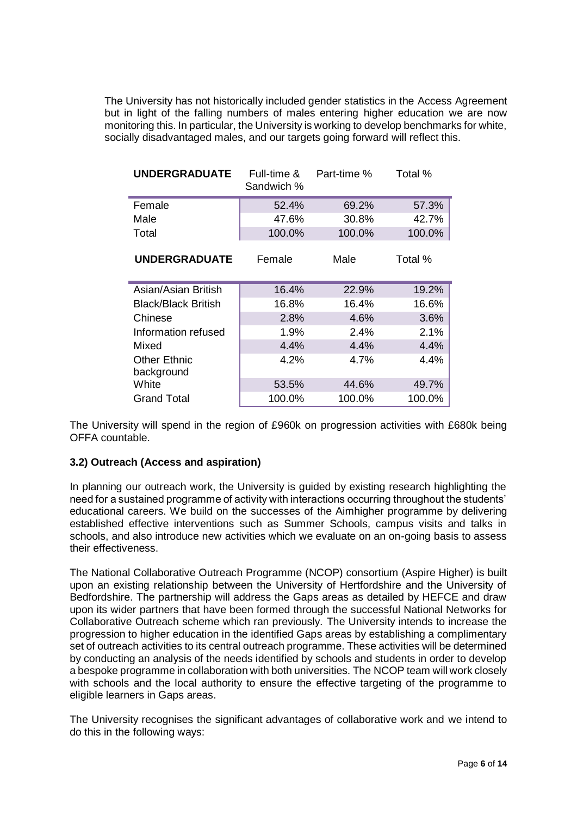The University has not historically included gender statistics in the Access Agreement but in light of the falling numbers of males entering higher education we are now monitoring this. In particular, the University is working to develop benchmarks for white, socially disadvantaged males, and our targets going forward will reflect this.

| <b>UNDERGRADUATE</b>              | Full-time &<br>Sandwich % | Part-time % | Total % |
|-----------------------------------|---------------------------|-------------|---------|
| Female                            | 52.4%                     | 69.2%       | 57.3%   |
| Male                              | 47.6%                     | 30.8%       | 42.7%   |
| Total                             | 100.0%                    | 100.0%      | 100.0%  |
| <b>UNDERGRADUATE</b>              | Female                    | Male        | Total % |
| Asian/Asian British               | 16.4%                     | 22.9%       | 19.2%   |
| <b>Black/Black British</b>        | 16.8%                     | 16.4%       | 16.6%   |
| Chinese                           | 2.8%                      | 4.6%        | 3.6%    |
| Information refused               | 1.9%                      | 2.4%        | 2.1%    |
| Mixed                             | 4.4%                      | 4.4%        | 4.4%    |
| <b>Other Ethnic</b><br>background | 4.2%                      | 4.7%        | 4.4%    |
| White                             | 53.5%                     | 44.6%       | 49.7%   |
| Grand Total                       | 100.0%                    | 100.0%      | 100.0%  |

The University will spend in the region of £960k on progression activities with £680k being OFFA countable.

# **3.2) Outreach (Access and aspiration)**

In planning our outreach work, the University is guided by existing research highlighting the need for a sustained programme of activity with interactions occurring throughout the students' educational careers. We build on the successes of the Aimhigher programme by delivering established effective interventions such as Summer Schools, campus visits and talks in schools, and also introduce new activities which we evaluate on an on-going basis to assess their effectiveness.

The National Collaborative Outreach Programme (NCOP) consortium (Aspire Higher) is built upon an existing relationship between the University of Hertfordshire and the University of Bedfordshire. The partnership will address the Gaps areas as detailed by HEFCE and draw upon its wider partners that have been formed through the successful National Networks for Collaborative Outreach scheme which ran previously. The University intends to increase the progression to higher education in the identified Gaps areas by establishing a complimentary set of outreach activities to its central outreach programme. These activities will be determined by conducting an analysis of the needs identified by schools and students in order to develop a bespoke programme in collaboration with both universities. The NCOP team will work closely with schools and the local authority to ensure the effective targeting of the programme to eligible learners in Gaps areas.

The University recognises the significant advantages of collaborative work and we intend to do this in the following ways: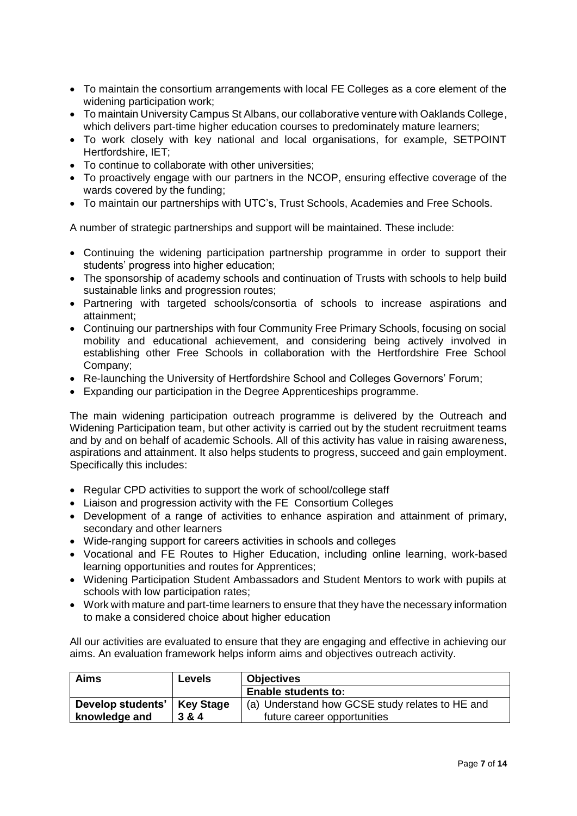- To maintain the consortium arrangements with local FE Colleges as a core element of the widening participation work;
- To maintain University Campus St Albans, our collaborative venture with Oaklands College, which delivers part-time higher education courses to predominately mature learners;
- To work closely with key national and local organisations, for example, SETPOINT Hertfordshire, IET;
- To continue to collaborate with other universities;
- To proactively engage with our partners in the NCOP, ensuring effective coverage of the wards covered by the funding;
- To maintain our partnerships with UTC's, Trust Schools, Academies and Free Schools.

A number of strategic partnerships and support will be maintained. These include:

- Continuing the widening participation partnership programme in order to support their students' progress into higher education;
- The sponsorship of academy schools and continuation of Trusts with schools to help build sustainable links and progression routes;
- Partnering with targeted schools/consortia of schools to increase aspirations and attainment;
- Continuing our partnerships with four Community Free Primary Schools, focusing on social mobility and educational achievement, and considering being actively involved in establishing other Free Schools in collaboration with the Hertfordshire Free School Company;
- Re-launching the University of Hertfordshire School and Colleges Governors' Forum;
- Expanding our participation in the Degree Apprenticeships programme.

The main widening participation outreach programme is delivered by the Outreach and Widening Participation team, but other activity is carried out by the student recruitment teams and by and on behalf of academic Schools. All of this activity has value in raising awareness, aspirations and attainment. It also helps students to progress, succeed and gain employment. Specifically this includes:

- Regular CPD activities to support the work of school/college staff
- Liaison and progression activity with the FE Consortium Colleges
- Development of a range of activities to enhance aspiration and attainment of primary, secondary and other learners
- Wide-ranging support for careers activities in schools and colleges
- Vocational and FE Routes to Higher Education, including online learning, work-based learning opportunities and routes for Apprentices;
- Widening Participation Student Ambassadors and Student Mentors to work with pupils at schools with low participation rates;
- Work with mature and part-time learners to ensure that they have the necessary information to make a considered choice about higher education

All our activities are evaluated to ensure that they are engaging and effective in achieving our aims. An evaluation framework helps inform aims and objectives outreach activity.

| Aims                          | <b>Levels</b> | <b>Objectives</b>                               |  |
|-------------------------------|---------------|-------------------------------------------------|--|
|                               |               | <b>Enable students to:</b>                      |  |
| Develop students'   Key Stage |               | (a) Understand how GCSE study relates to HE and |  |
| knowledge and                 | 3 & 4         | future career opportunities                     |  |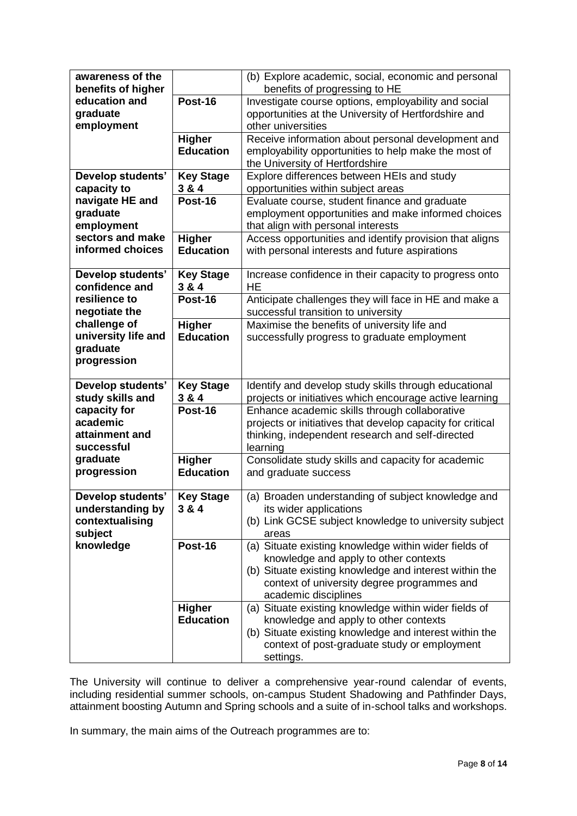| awareness of the    |                  | (b) Explore academic, social, economic and personal        |
|---------------------|------------------|------------------------------------------------------------|
|                     |                  |                                                            |
| benefits of higher  |                  | benefits of progressing to HE                              |
| education and       | Post-16          | Investigate course options, employability and social       |
| graduate            |                  | opportunities at the University of Hertfordshire and       |
| employment          |                  | other universities                                         |
|                     | <b>Higher</b>    | Receive information about personal development and         |
|                     | <b>Education</b> | employability opportunities to help make the most of       |
|                     |                  | the University of Hertfordshire                            |
| Develop students'   | <b>Key Stage</b> | Explore differences between HEIs and study                 |
| capacity to         | 3 & 4            | opportunities within subject areas                         |
| navigate HE and     | Post-16          | Evaluate course, student finance and graduate              |
| graduate            |                  | employment opportunities and make informed choices         |
| employment          |                  | that align with personal interests                         |
| sectors and make    | <b>Higher</b>    | Access opportunities and identify provision that aligns    |
| informed choices    | <b>Education</b> | with personal interests and future aspirations             |
|                     |                  |                                                            |
| Develop students'   | <b>Key Stage</b> | Increase confidence in their capacity to progress onto     |
| confidence and      | 3 & 4            | <b>HE</b>                                                  |
| resilience to       | Post-16          | Anticipate challenges they will face in HE and make a      |
| negotiate the       |                  |                                                            |
|                     |                  | successful transition to university                        |
| challenge of        | <b>Higher</b>    | Maximise the benefits of university life and               |
| university life and | <b>Education</b> | successfully progress to graduate employment               |
| graduate            |                  |                                                            |
| progression         |                  |                                                            |
|                     |                  |                                                            |
| Develop students'   | <b>Key Stage</b> | Identify and develop study skills through educational      |
| study skills and    | 3 & 4            | projects or initiatives which encourage active learning    |
| capacity for        | Post-16          | Enhance academic skills through collaborative              |
| academic            |                  | projects or initiatives that develop capacity for critical |
| attainment and      |                  | thinking, independent research and self-directed           |
| successful          |                  | learning                                                   |
| graduate            | <b>Higher</b>    | Consolidate study skills and capacity for academic         |
| progression         | <b>Education</b> | and graduate success                                       |
|                     |                  |                                                            |
| Develop students'   | <b>Key Stage</b> | (a) Broaden understanding of subject knowledge and         |
| understanding by    | 3 & 4            | its wider applications                                     |
| contextualising     |                  | (b) Link GCSE subject knowledge to university subject      |
| subject             |                  | areas                                                      |
| knowledge           | <b>Post-16</b>   | (a) Situate existing knowledge within wider fields of      |
|                     |                  | knowledge and apply to other contexts                      |
|                     |                  | (b) Situate existing knowledge and interest within the     |
|                     |                  | context of university degree programmes and                |
|                     |                  | academic disciplines                                       |
|                     | <b>Higher</b>    | (a) Situate existing knowledge within wider fields of      |
|                     | <b>Education</b> | knowledge and apply to other contexts                      |
|                     |                  |                                                            |
|                     |                  |                                                            |
|                     |                  | (b) Situate existing knowledge and interest within the     |
|                     |                  | context of post-graduate study or employment<br>settings.  |

The University will continue to deliver a comprehensive year-round calendar of events, including residential summer schools, on-campus Student Shadowing and Pathfinder Days, attainment boosting Autumn and Spring schools and a suite of in-school talks and workshops.

In summary, the main aims of the Outreach programmes are to: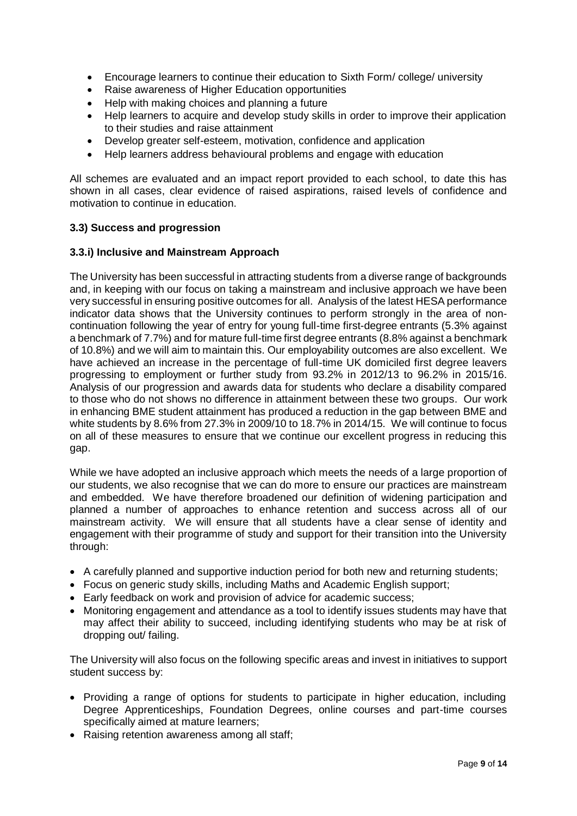- Encourage learners to continue their education to Sixth Form/ college/ university
- Raise awareness of Higher Education opportunities
- Help with making choices and planning a future
- Help learners to acquire and develop study skills in order to improve their application to their studies and raise attainment
- Develop greater self-esteem, motivation, confidence and application
- Help learners address behavioural problems and engage with education

All schemes are evaluated and an impact report provided to each school, to date this has shown in all cases, clear evidence of raised aspirations, raised levels of confidence and motivation to continue in education.

# **3.3) Success and progression**

# **3.3.i) Inclusive and Mainstream Approach**

The University has been successful in attracting students from a diverse range of backgrounds and, in keeping with our focus on taking a mainstream and inclusive approach we have been very successful in ensuring positive outcomes for all. Analysis of the latest HESA performance indicator data shows that the University continues to perform strongly in the area of noncontinuation following the year of entry for young full-time first-degree entrants (5.3% against a benchmark of 7.7%) and for mature full-time first degree entrants (8.8% against a benchmark of 10.8%) and we will aim to maintain this. Our employability outcomes are also excellent. We have achieved an increase in the percentage of full-time UK domiciled first degree leavers progressing to employment or further study from 93.2% in 2012/13 to 96.2% in 2015/16. Analysis of our progression and awards data for students who declare a disability compared to those who do not shows no difference in attainment between these two groups. Our work in enhancing BME student attainment has produced a reduction in the gap between BME and white students by 8.6% from 27.3% in 2009/10 to 18.7% in 2014/15. We will continue to focus on all of these measures to ensure that we continue our excellent progress in reducing this gap.

While we have adopted an inclusive approach which meets the needs of a large proportion of our students, we also recognise that we can do more to ensure our practices are mainstream and embedded. We have therefore broadened our definition of widening participation and planned a number of approaches to enhance retention and success across all of our mainstream activity. We will ensure that all students have a clear sense of identity and engagement with their programme of study and support for their transition into the University through:

- A carefully planned and supportive induction period for both new and returning students;
- Focus on generic study skills, including Maths and Academic English support;
- Early feedback on work and provision of advice for academic success;
- Monitoring engagement and attendance as a tool to identify issues students may have that may affect their ability to succeed, including identifying students who may be at risk of dropping out/ failing.

The University will also focus on the following specific areas and invest in initiatives to support student success by:

- Providing a range of options for students to participate in higher education, including Degree Apprenticeships, Foundation Degrees, online courses and part-time courses specifically aimed at mature learners;
- Raising retention awareness among all staff;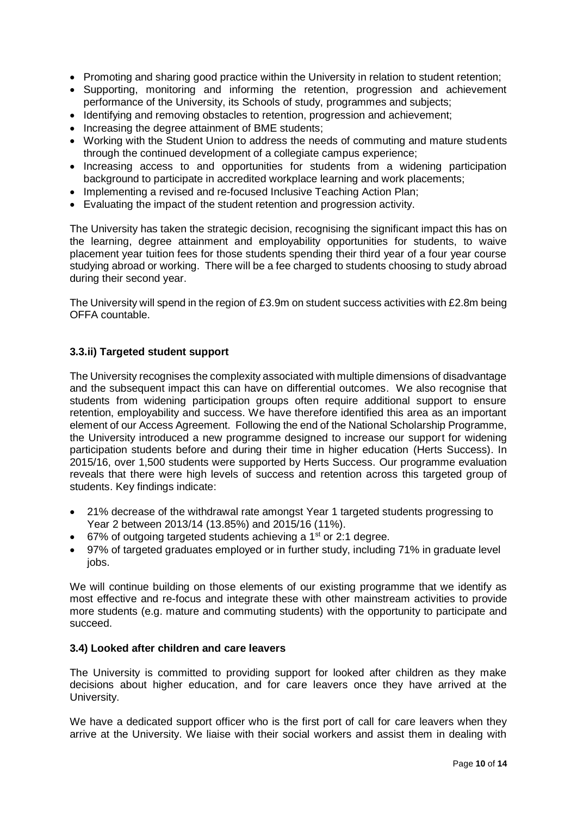- Promoting and sharing good practice within the University in relation to student retention;
- Supporting, monitoring and informing the retention, progression and achievement performance of the University, its Schools of study, programmes and subjects;
- Identifying and removing obstacles to retention, progression and achievement;
- Increasing the degree attainment of BME students:
- Working with the Student Union to address the needs of commuting and mature students through the continued development of a collegiate campus experience;
- Increasing access to and opportunities for students from a widening participation background to participate in accredited workplace learning and work placements;
- Implementing a revised and re-focused Inclusive Teaching Action Plan;
- Evaluating the impact of the student retention and progression activity.

The University has taken the strategic decision, recognising the significant impact this has on the learning, degree attainment and employability opportunities for students, to waive placement year tuition fees for those students spending their third year of a four year course studying abroad or working. There will be a fee charged to students choosing to study abroad during their second year.

The University will spend in the region of £3.9m on student success activities with £2.8m being OFFA countable.

# **3.3.ii) Targeted student support**

The University recognises the complexity associated with multiple dimensions of disadvantage and the subsequent impact this can have on differential outcomes. We also recognise that students from widening participation groups often require additional support to ensure retention, employability and success. We have therefore identified this area as an important element of our Access Agreement. Following the end of the National Scholarship Programme, the University introduced a new programme designed to increase our support for widening participation students before and during their time in higher education (Herts Success). In 2015/16, over 1,500 students were supported by Herts Success. Our programme evaluation reveals that there were high levels of success and retention across this targeted group of students. Key findings indicate:

- 21% decrease of the withdrawal rate amongst Year 1 targeted students progressing to Year 2 between 2013/14 (13.85%) and 2015/16 (11%).
- $\bullet$  67% of outgoing targeted students achieving a 1<sup>st</sup> or 2:1 degree.
- 97% of targeted graduates employed or in further study, including 71% in graduate level jobs.

We will continue building on those elements of our existing programme that we identify as most effective and re-focus and integrate these with other mainstream activities to provide more students (e.g. mature and commuting students) with the opportunity to participate and succeed.

#### **3.4) Looked after children and care leavers**

The University is committed to providing support for looked after children as they make decisions about higher education, and for care leavers once they have arrived at the University.

We have a dedicated support officer who is the first port of call for care leavers when they arrive at the University. We liaise with their social workers and assist them in dealing with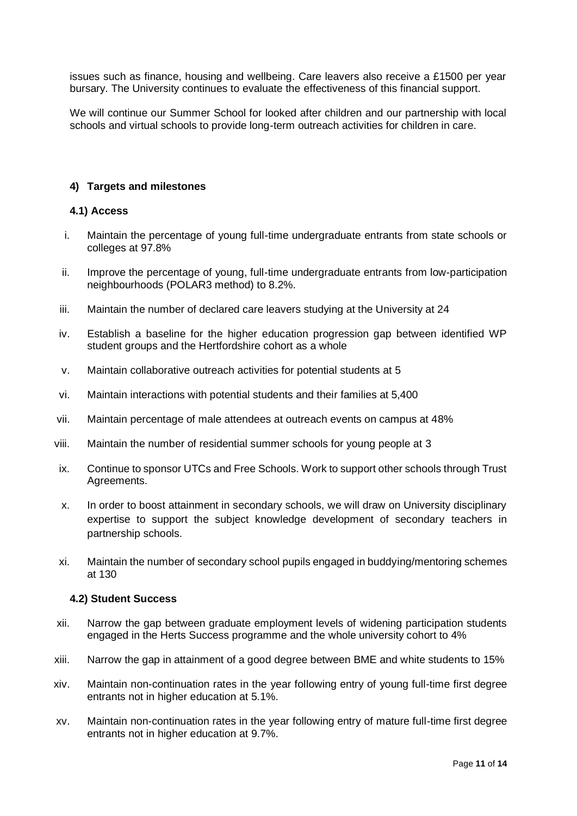issues such as finance, housing and wellbeing. Care leavers also receive a £1500 per year bursary. The University continues to evaluate the effectiveness of this financial support.

We will continue our Summer School for looked after children and our partnership with local schools and virtual schools to provide long-term outreach activities for children in care.

#### **4) Targets and milestones**

#### **4.1) Access**

- i. Maintain the percentage of young full-time undergraduate entrants from state schools or colleges at 97.8%
- ii. Improve the percentage of young, full-time undergraduate entrants from low-participation neighbourhoods (POLAR3 method) to 8.2%.
- iii. Maintain the number of declared care leavers studying at the University at 24
- iv. Establish a baseline for the higher education progression gap between identified WP student groups and the Hertfordshire cohort as a whole
- v. Maintain collaborative outreach activities for potential students at 5
- vi. Maintain interactions with potential students and their families at 5,400
- vii. Maintain percentage of male attendees at outreach events on campus at 48%
- viii. Maintain the number of residential summer schools for young people at 3
- ix. Continue to sponsor UTCs and Free Schools. Work to support other schools through Trust Agreements.
- x. In order to boost attainment in secondary schools, we will draw on University disciplinary expertise to support the subject knowledge development of secondary teachers in partnership schools.
- xi. Maintain the number of secondary school pupils engaged in buddying/mentoring schemes at 130

#### **4.2) Student Success**

- xii. Narrow the gap between graduate employment levels of widening participation students engaged in the Herts Success programme and the whole university cohort to 4%
- xiii. Narrow the gap in attainment of a good degree between BME and white students to 15%
- xiv. Maintain non-continuation rates in the year following entry of young full-time first degree entrants not in higher education at 5.1%.
- xv. Maintain non-continuation rates in the year following entry of mature full-time first degree entrants not in higher education at 9.7%.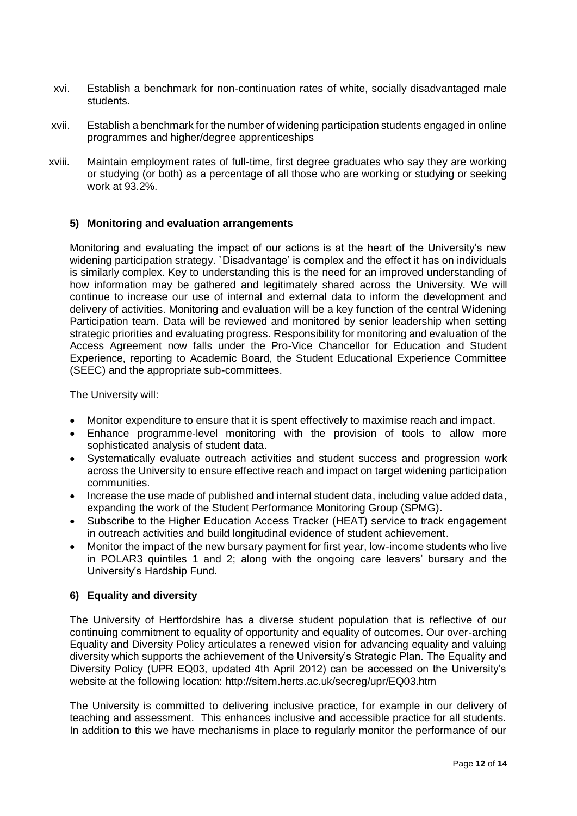- xvi. Establish a benchmark for non-continuation rates of white, socially disadvantaged male students.
- xvii. Establish a benchmark for the number of widening participation students engaged in online programmes and higher/degree apprenticeships
- xviii. Maintain employment rates of full-time, first degree graduates who say they are working or studying (or both) as a percentage of all those who are working or studying or seeking work at 93.2%.

# **5) Monitoring and evaluation arrangements**

Monitoring and evaluating the impact of our actions is at the heart of the University's new widening participation strategy. `Disadvantage' is complex and the effect it has on individuals is similarly complex. Key to understanding this is the need for an improved understanding of how information may be gathered and legitimately shared across the University. We will continue to increase our use of internal and external data to inform the development and delivery of activities. Monitoring and evaluation will be a key function of the central Widening Participation team. Data will be reviewed and monitored by senior leadership when setting strategic priorities and evaluating progress. Responsibility for monitoring and evaluation of the Access Agreement now falls under the Pro-Vice Chancellor for Education and Student Experience, reporting to Academic Board, the Student Educational Experience Committee (SEEC) and the appropriate sub-committees.

The University will:

- Monitor expenditure to ensure that it is spent effectively to maximise reach and impact.
- Enhance programme-level monitoring with the provision of tools to allow more sophisticated analysis of student data.
- Systematically evaluate outreach activities and student success and progression work across the University to ensure effective reach and impact on target widening participation communities.
- Increase the use made of published and internal student data, including value added data, expanding the work of the Student Performance Monitoring Group (SPMG).
- Subscribe to the Higher Education Access Tracker (HEAT) service to track engagement in outreach activities and build longitudinal evidence of student achievement.
- Monitor the impact of the new bursary payment for first year, low-income students who live in POLAR3 quintiles 1 and 2; along with the ongoing care leavers' bursary and the University's Hardship Fund.

#### **6) Equality and diversity**

The University of Hertfordshire has a diverse student population that is reflective of our continuing commitment to equality of opportunity and equality of outcomes. Our over-arching Equality and Diversity Policy articulates a renewed vision for advancing equality and valuing diversity which supports the achievement of the University's Strategic Plan. The Equality and Diversity Policy (UPR EQ03, updated 4th April 2012) can be accessed on the University's website at the following location: http://sitem.herts.ac.uk/secreg/upr/EQ03.htm

The University is committed to delivering inclusive practice, for example in our delivery of teaching and assessment. This enhances inclusive and accessible practice for all students. In addition to this we have mechanisms in place to regularly monitor the performance of our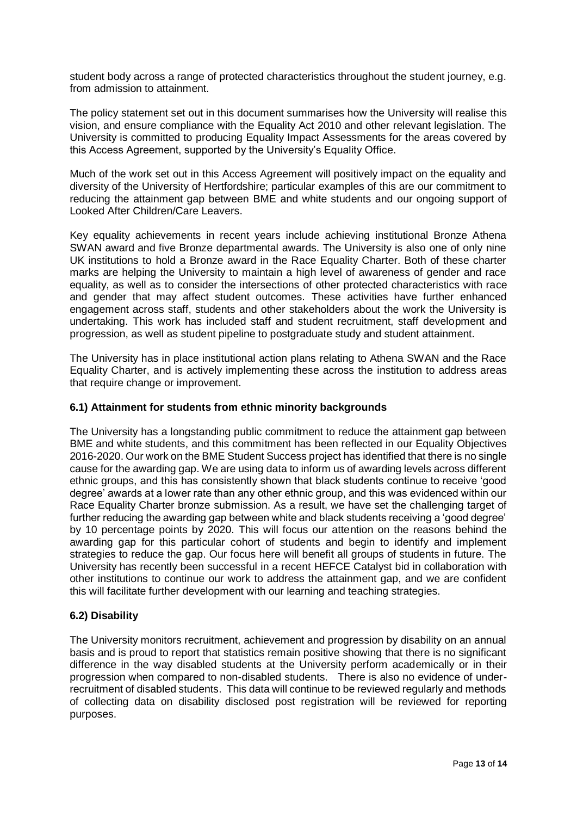student body across a range of protected characteristics throughout the student journey, e.g. from admission to attainment.

The policy statement set out in this document summarises how the University will realise this vision, and ensure compliance with the Equality Act 2010 and other relevant legislation. The University is committed to producing Equality Impact Assessments for the areas covered by this Access Agreement, supported by the University's Equality Office.

Much of the work set out in this Access Agreement will positively impact on the equality and diversity of the University of Hertfordshire; particular examples of this are our commitment to reducing the attainment gap between BME and white students and our ongoing support of Looked After Children/Care Leavers.

Key equality achievements in recent years include achieving institutional Bronze Athena SWAN award and five Bronze departmental awards. The University is also one of only nine UK institutions to hold a Bronze award in the Race Equality Charter. Both of these charter marks are helping the University to maintain a high level of awareness of gender and race equality, as well as to consider the intersections of other protected characteristics with race and gender that may affect student outcomes. These activities have further enhanced engagement across staff, students and other stakeholders about the work the University is undertaking. This work has included staff and student recruitment, staff development and progression, as well as student pipeline to postgraduate study and student attainment.

The University has in place institutional action plans relating to Athena SWAN and the Race Equality Charter, and is actively implementing these across the institution to address areas that require change or improvement.

#### **6.1) Attainment for students from ethnic minority backgrounds**

The University has a longstanding public commitment to reduce the attainment gap between BME and white students, and this commitment has been reflected in our Equality Objectives 2016-2020. Our work on the BME Student Success project has identified that there is no single cause for the awarding gap. We are using data to inform us of awarding levels across different ethnic groups, and this has consistently shown that black students continue to receive 'good degree' awards at a lower rate than any other ethnic group, and this was evidenced within our Race Equality Charter bronze [submission.](http://www.herts.ac.uk/about-us/equality-and-diversity/race-equality-charter-mark) As a result, we have set the challenging target of further reducing the awarding gap between white and black students receiving a 'good degree' by 10 percentage points by 2020. This will focus our attention on the reasons behind the awarding gap for this particular cohort of students and begin to identify and implement strategies to reduce the gap. Our focus here will benefit all groups of students in future. The University has recently been successful in a recent HEFCE Catalyst bid in collaboration with other institutions to continue our work to address the attainment gap, and we are confident this will facilitate further development with our learning and teaching strategies.

#### **6.2) Disability**

The University monitors recruitment, achievement and progression by disability on an annual basis and is proud to report that statistics remain positive showing that there is no significant difference in the way disabled students at the University perform academically or in their progression when compared to non-disabled students. There is also no evidence of underrecruitment of disabled students. This data will continue to be reviewed regularly and methods of collecting data on disability disclosed post registration will be reviewed for reporting purposes.